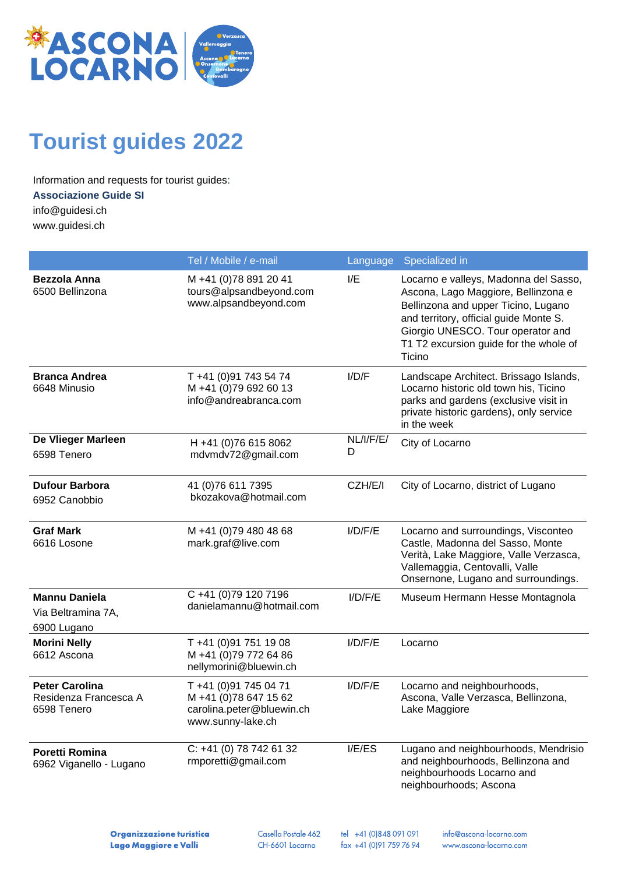

# **Tourist guides 2022**

Information and requests for tourist guides:

#### **Associazione Guide SI**

[info@guidesi.ch](mailto:info@guidesi.ch) www.guidesi.ch

Tel / Mobile / e-mail Language Specialized in **Bezzola Anna** 6500 Bellinzona M +41 (0)78 891 20 41 tours@alpsandbeyond.com www.alpsandbeyond.com I/E Locarno e valleys, Madonna del Sasso, Ascona, Lago Maggiore, Bellinzona e Bellinzona and upper Ticino, Lugano and territory, official guide Monte S. Giorgio UNESCO. Tour operator and T1 T2 excursion guide for the whole of **Ticino Branca Andrea** 6648 Minusio T +41 (0)91 743 54 74 M +41 (0)79 692 60 13 info@andreabranca.com I/D/F Landscape Architect. Brissago Islands, Locarno historic old town his, Ticino parks and gardens (exclusive visit in private historic gardens), only service in the week **De Vlieger Marleen** 6598 Tenero H +41 (0)76 615 8062 [mdvmdv72@gmail.com](mailto:mdvmdv72@gmail.com) NL/I/F/E/ D City of Locarno **Dufour Barbora** 6952 Canobbio 41 (0)76 611 7395 [bkozakova@hotmail.com](mailto:bkozakova@hotmail.com) CZH/E/I City of Locarno, district of Lugano **Graf Mark** 6616 Losone M +41 (0)79 480 48 68 mark.graf@live.com I/D/F/E Locarno and surroundings, Visconteo Castle, Madonna del Sasso, Monte Verità, Lake Maggiore, Valle Verzasca, Vallemaggia, Centovalli, Valle Onsernone, Lugano and surroundings. **Mannu Daniela** Via Beltramina 7A, 6900 Lugano C +41 (0)79 120 7196 [danielamannu@hotmail.com](mailto:danielamannu@hotmail.com) I/D/F/E Museum Hermann Hesse Montagnola **Morini Nelly** 6612 Ascona T +41 (0)91 751 19 08 M +41 (0)79 772 64 86 nellymorini@bluewin.ch I/D/F/E Locarno **Peter Carolina** Residenza Francesca A 6598 Tenero T +41 (0)91 745 04 71 M +41 (0)78 647 15 62 carolina.peter@bluewin.ch www.sunny-lake.ch I/D/F/E Locarno and neighbourhoods, Ascona, Valle Verzasca, Bellinzona, Lake Maggiore **Poretti Romina** 6962 Viganello - Lugano C: +41 (0) 78 742 61 32 [rmporetti@gmail.com](mailto:rmporetti@gmail.com) I/E/ES Lugano and neighbourhoods, Mendrisio and neighbourhoods, Bellinzona and neighbourhoods Locarno and

neighbourhoods; Ascona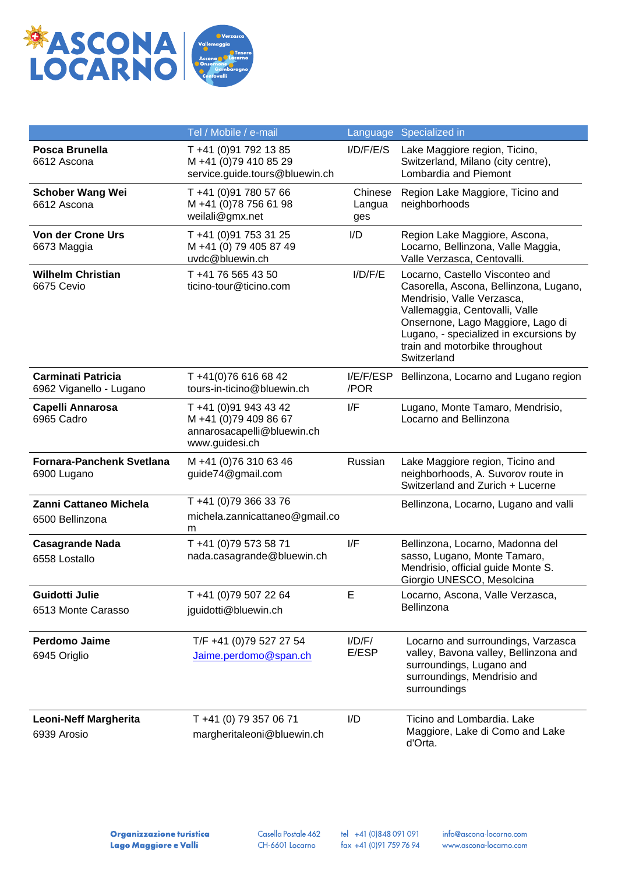

|                                                      | Tel / Mobile / e-mail                                                                          |                          | Language Specialized in                                                                                                                                                                                                                                                   |
|------------------------------------------------------|------------------------------------------------------------------------------------------------|--------------------------|---------------------------------------------------------------------------------------------------------------------------------------------------------------------------------------------------------------------------------------------------------------------------|
| Posca Brunella<br>6612 Ascona                        | T +41 (0)91 792 13 85<br>M +41 (0)79 410 85 29<br>service.guide.tours@bluewin.ch               | I/D/F/E/S                | Lake Maggiore region, Ticino,<br>Switzerland, Milano (city centre),<br>Lombardia and Piemont                                                                                                                                                                              |
| <b>Schober Wang Wei</b><br>6612 Ascona               | T +41 (0)91 780 57 66<br>M +41 (0)78 756 61 98<br>weilali@gmx.net                              | Chinese<br>Langua<br>ges | Region Lake Maggiore, Ticino and<br>neighborhoods                                                                                                                                                                                                                         |
| <b>Von der Crone Urs</b><br>6673 Maggia              | T +41 (0)91 753 31 25<br>M +41 (0) 79 405 87 49<br>uvdc@bluewin.ch                             | I/D                      | Region Lake Maggiore, Ascona,<br>Locarno, Bellinzona, Valle Maggia,<br>Valle Verzasca, Centovalli.                                                                                                                                                                        |
| <b>Wilhelm Christian</b><br>6675 Cevio               | T +41 76 565 43 50<br>ticino-tour@ticino.com                                                   | I/D/F/E                  | Locarno, Castello Visconteo and<br>Casorella, Ascona, Bellinzona, Lugano,<br>Mendrisio, Valle Verzasca,<br>Vallemaggia, Centovalli, Valle<br>Onsernone, Lago Maggiore, Lago di<br>Lugano, - specialized in excursions by<br>train and motorbike throughout<br>Switzerland |
| <b>Carminati Patricia</b><br>6962 Viganello - Lugano | T +41(0)76 616 68 42<br>tours-in-ticino@bluewin.ch                                             | I/E/F/ESP<br>/POR        | Bellinzona, Locarno and Lugano region                                                                                                                                                                                                                                     |
| Capelli Annarosa<br>6965 Cadro                       | T +41 (0)91 943 43 42<br>M +41 (0)79 409 86 67<br>annarosacapelli@bluewin.ch<br>www.guidesi.ch | I/F                      | Lugano, Monte Tamaro, Mendrisio,<br>Locarno and Bellinzona                                                                                                                                                                                                                |
| <b>Fornara-Panchenk Svetlana</b><br>6900 Lugano      | M +41 (0)76 310 63 46<br>guide74@gmail.com                                                     | Russian                  | Lake Maggiore region, Ticino and<br>neighborhoods, A. Suvorov route in<br>Switzerland and Zurich + Lucerne                                                                                                                                                                |
| <b>Zanni Cattaneo Michela</b><br>6500 Bellinzona     | T +41 (0)79 366 33 76<br>michela.zannicattaneo@gmail.co<br>m                                   |                          | Bellinzona, Locarno, Lugano and valli                                                                                                                                                                                                                                     |
| <b>Casagrande Nada</b><br>6558 Lostallo              | T +41 (0)79 573 58 71<br>nada.casagrande@bluewin.ch                                            | I/F                      | Bellinzona, Locarno, Madonna del<br>sasso, Lugano, Monte Tamaro,<br>Mendrisio, official guide Monte S.<br>Giorgio UNESCO, Mesolcina                                                                                                                                       |
| Guidotti Julie<br>6513 Monte Carasso                 | T +41 (0)79 507 22 64<br>jguidotti@bluewin.ch                                                  | E                        | Locarno, Ascona, Valle Verzasca,<br>Bellinzona                                                                                                                                                                                                                            |
| <b>Perdomo Jaime</b><br>6945 Origlio                 | T/F +41 (0)79 527 27 54<br>Jaime.perdomo@span.ch                                               | I/D/F/<br>E/ESP          | Locarno and surroundings, Varzasca<br>valley, Bavona valley, Bellinzona and<br>surroundings, Lugano and<br>surroundings, Mendrisio and<br>surroundings                                                                                                                    |
| <b>Leoni-Neff Margherita</b><br>6939 Arosio          | T +41 (0) 79 357 06 71<br>margheritaleoni@bluewin.ch                                           | I/D                      | Ticino and Lombardia. Lake<br>Maggiore, Lake di Como and Lake<br>d'Orta.                                                                                                                                                                                                  |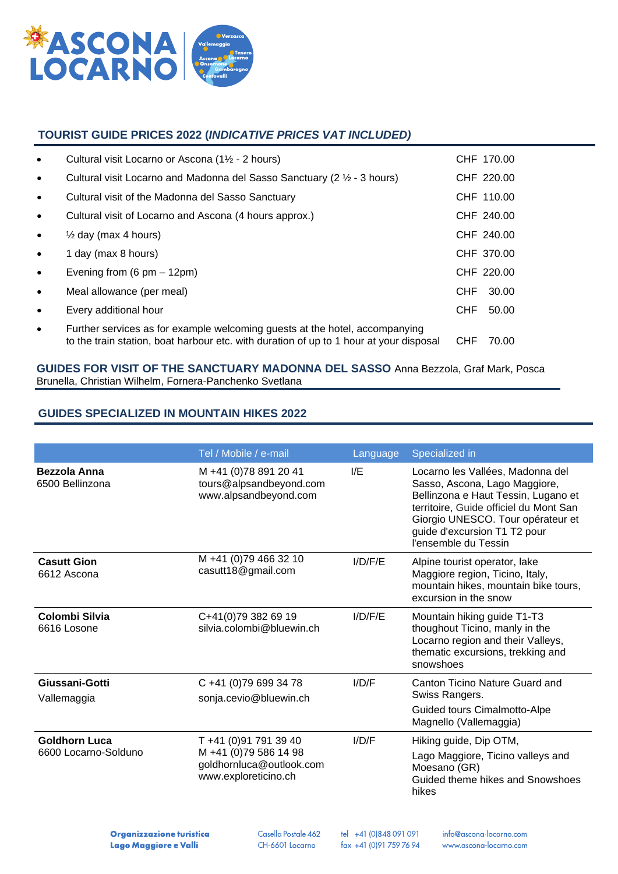

## **TOURIST GUIDE PRICES 2022 (***INDICATIVE PRICES VAT INCLUDED)*

| $\bullet$ | Cultural visit Locarno or Ascona (1½ - 2 hours)                                                                                                                       |            | CHF 170.00 |
|-----------|-----------------------------------------------------------------------------------------------------------------------------------------------------------------------|------------|------------|
| $\bullet$ | Cultural visit Locarno and Madonna del Sasso Sanctuary (2 1/2 - 3 hours)                                                                                              |            | CHF 220.00 |
| $\bullet$ | Cultural visit of the Madonna del Sasso Sanctuary                                                                                                                     |            | CHF 110.00 |
| $\bullet$ | Cultural visit of Locarno and Ascona (4 hours approx.)                                                                                                                |            | CHF 240.00 |
| $\bullet$ | $\frac{1}{2}$ day (max 4 hours)                                                                                                                                       |            | CHF 240.00 |
| $\bullet$ | 1 day (max 8 hours)                                                                                                                                                   |            | CHF 370.00 |
| $\bullet$ | Evening from $(6 \text{ pm} - 12 \text{pm})$                                                                                                                          |            | CHF 220.00 |
| $\bullet$ | Meal allowance (per meal)                                                                                                                                             | CHF        | 30.00      |
| $\bullet$ | Every additional hour                                                                                                                                                 | <b>CHF</b> | 50.00      |
| $\bullet$ | Further services as for example welcoming guests at the hotel, accompanying<br>to the train station, boat harbour etc. with duration of up to 1 hour at your disposal | <b>CHF</b> | 70.00      |

#### **GUIDES FOR VISIT OF THE SANCTUARY MADONNA DEL SASSO** Anna Bezzola, Graf Mark, Posca Brunella, Christian Wilhelm, Fornera-Panchenko Svetlana

## **GUIDES SPECIALIZED IN MOUNTAIN HIKES 2022**

|                                              | Tel / Mobile / e-mail                                                                              | Language | Specialized in                                                                                                                                                                                                                                  |
|----------------------------------------------|----------------------------------------------------------------------------------------------------|----------|-------------------------------------------------------------------------------------------------------------------------------------------------------------------------------------------------------------------------------------------------|
| Bezzola Anna<br>6500 Bellinzona              | M +41 (0)78 891 20 41<br>tours@alpsandbeyond.com<br>www.alpsandbeyond.com                          | I/E      | Locarno les Vallées, Madonna del<br>Sasso, Ascona, Lago Maggiore,<br>Bellinzona e Haut Tessin, Lugano et<br>territoire, Guide officiel du Mont San<br>Giorgio UNESCO. Tour opérateur et<br>guide d'excursion T1 T2 pour<br>l'ensemble du Tessin |
| <b>Casutt Gion</b><br>6612 Ascona            | M +41 (0)79 466 32 10<br>casutt18@gmail.com                                                        | I/D/F/E  | Alpine tourist operator, lake<br>Maggiore region, Ticino, Italy,<br>mountain hikes, mountain bike tours,<br>excursion in the snow                                                                                                               |
| Colombi Silvia<br>6616 Losone                | C+41(0)79 382 69 19<br>silvia.colombi@bluewin.ch                                                   | I/D/F/E  | Mountain hiking guide T1-T3<br>thoughout Ticino, manly in the<br>Locarno region and their Valleys,<br>thematic excursions, trekking and<br>snowshoes                                                                                            |
| Giussani-Gotti<br>Vallemaggia                | C +41 (0)79 699 34 78<br>sonja.cevio@bluewin.ch                                                    | I/D/F    | Canton Ticino Nature Guard and<br>Swiss Rangers.<br>Guided tours Cimalmotto-Alpe<br>Magnello (Vallemaggia)                                                                                                                                      |
| <b>Goldhorn Luca</b><br>6600 Locarno-Solduno | T +41 (0)91 791 39 40<br>M +41 (0)79 586 14 98<br>goldhornluca@outlook.com<br>www.exploreticino.ch | I/D/F    | Hiking guide, Dip OTM,<br>Lago Maggiore, Ticino valleys and<br>Moesano (GR)<br>Guided theme hikes and Snowshoes<br>hikes                                                                                                                        |